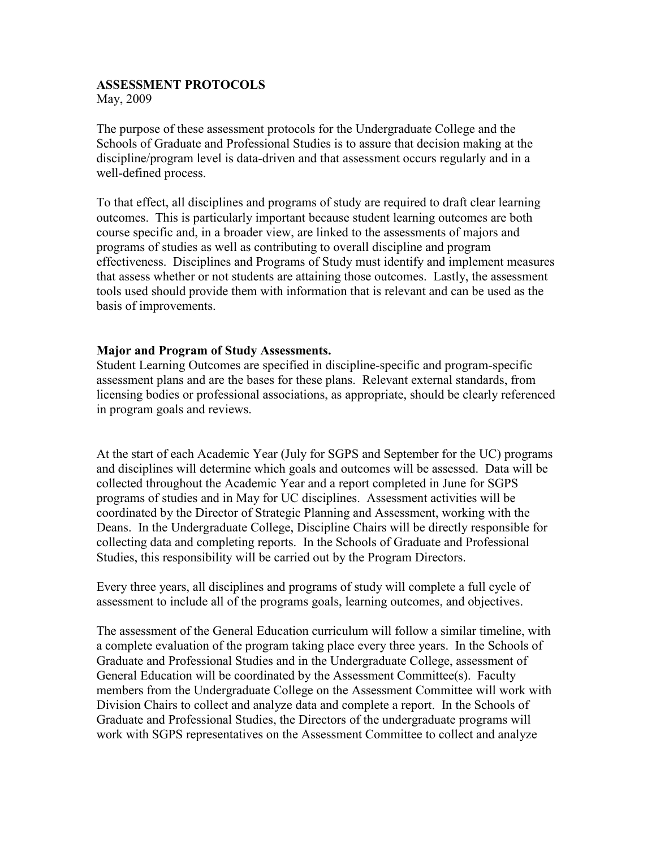## ASSESSMENT PROTOCOLS

May, 2009

The purpose of these assessment protocols for the Undergraduate College and the Schools of Graduate and Professional Studies is to assure that decision making at the discipline/program level is data-driven and that assessment occurs regularly and in a well-defined process.

To that effect, all disciplines and programs of study are required to draft clear learning outcomes. This is particularly important because student learning outcomes are both course specific and, in a broader view, are linked to the assessments of majors and programs of studies as well as contributing to overall discipline and program effectiveness. Disciplines and Programs of Study must identify and implement measures that assess whether or not students are attaining those outcomes. Lastly, the assessment tools used should provide them with information that is relevant and can be used as the basis of improvements.

## Major and Program of Study Assessments.

Student Learning Outcomes are specified in discipline-specific and program-specific assessment plans and are the bases for these plans. Relevant external standards, from licensing bodies or professional associations, as appropriate, should be clearly referenced in program goals and reviews.

At the start of each Academic Year (July for SGPS and September for the UC) programs and disciplines will determine which goals and outcomes will be assessed. Data will be collected throughout the Academic Year and a report completed in June for SGPS programs of studies and in May for UC disciplines. Assessment activities will be coordinated by the Director of Strategic Planning and Assessment, working with the Deans. In the Undergraduate College, Discipline Chairs will be directly responsible for collecting data and completing reports. In the Schools of Graduate and Professional Studies, this responsibility will be carried out by the Program Directors.

Every three years, all disciplines and programs of study will complete a full cycle of assessment to include all of the programs goals, learning outcomes, and objectives.

The assessment of the General Education curriculum will follow a similar timeline, with a complete evaluation of the program taking place every three years. In the Schools of Graduate and Professional Studies and in the Undergraduate College, assessment of General Education will be coordinated by the Assessment Committee(s). Faculty members from the Undergraduate College on the Assessment Committee will work with Division Chairs to collect and analyze data and complete a report. In the Schools of Graduate and Professional Studies, the Directors of the undergraduate programs will work with SGPS representatives on the Assessment Committee to collect and analyze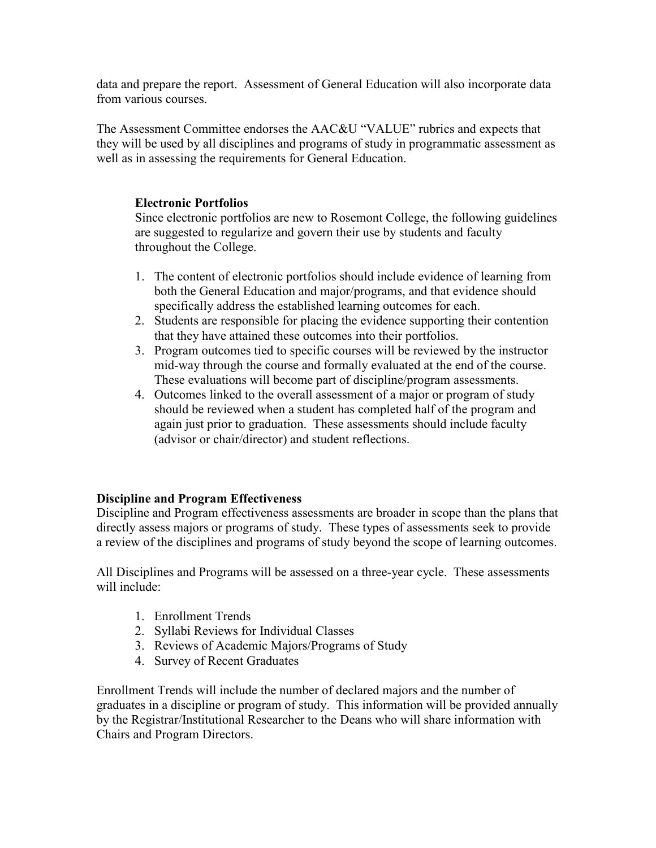data and prepare the report. Assessment of General Education will also incorporate data from various courses.

The Assessment Committee endorses the AAC&U "VALUE" rubrics and expects that they will be used by all disciplines and programs of study in programmatic assessment as well as in assessing the requirements for General Education.

## Electronic Portfolios

Since electronic portfolios are new to Rosemont College, the following guidelines are suggested to regularize and govern their use by students and faculty throughout the College.

- 1. The content of electronic portfolios should include evidence of learning from both the General Education and major/programs, and that evidence should specifically address the established learning outcomes for each.
- 2. Students are responsible for placing the evidence supporting their contention that they have attained these outcomes into their portfolios.
- 3. Program outcomes tied to specific courses will be reviewed by the instructor mid-way through the course and formally evaluated at the end of the course. These evaluations will become part of discipline/program assessments.
- 4. Outcomes linked to the overall assessment of a major or program of study should be reviewed when a student has completed half of the program and again just prior to graduation. These assessments should include faculty (advisor or chair/director) and student reflections.

## Discipline and Program Effectiveness

Discipline and Program effectiveness assessments are broader in scope than the plans that directly assess majors or programs of study. These types of assessments seek to provide a review of the disciplines and programs of study beyond the scope of learning outcomes.

All Disciplines and Programs will be assessed on a three-year cycle. These assessments will include:

- 1. Enrollment Trends
- 2. Syllabi Reviews for Individual Classes
- 3. Reviews of Academic Majors/Programs of Study
- 4. Survey of Recent Graduates

Enrollment Trends will include the number of declared majors and the number of graduates in a discipline or program of study. This information will be provided annually by the Registrar/Institutional Researcher to the Deans who will share information with Chairs and Program Directors.